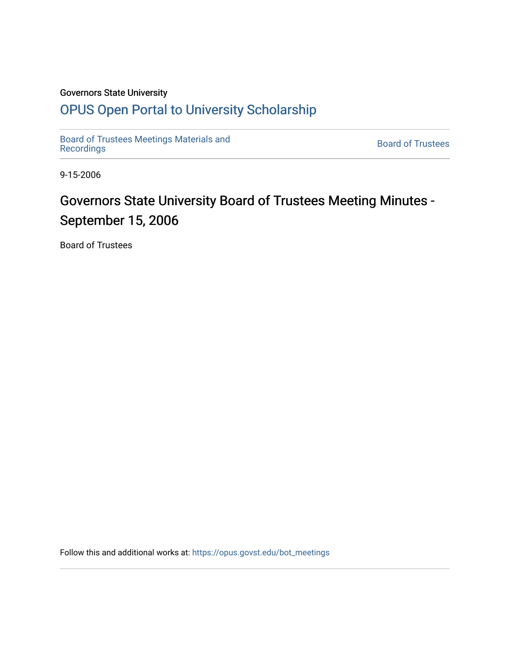### Governors State University

## [OPUS Open Portal to University Scholarship](https://opus.govst.edu/)

[Board of Trustees Meetings Materials and](https://opus.govst.edu/bot_meetings) state of the control of Trustees Board of Trustees<br>[Recordings](https://opus.govst.edu/bot_meetings)

9-15-2006

# Governors State University Board of Trustees Meeting Minutes -September 15, 2006

Board of Trustees

Follow this and additional works at: [https://opus.govst.edu/bot\\_meetings](https://opus.govst.edu/bot_meetings?utm_source=opus.govst.edu%2Fbot_meetings%2F49&utm_medium=PDF&utm_campaign=PDFCoverPages)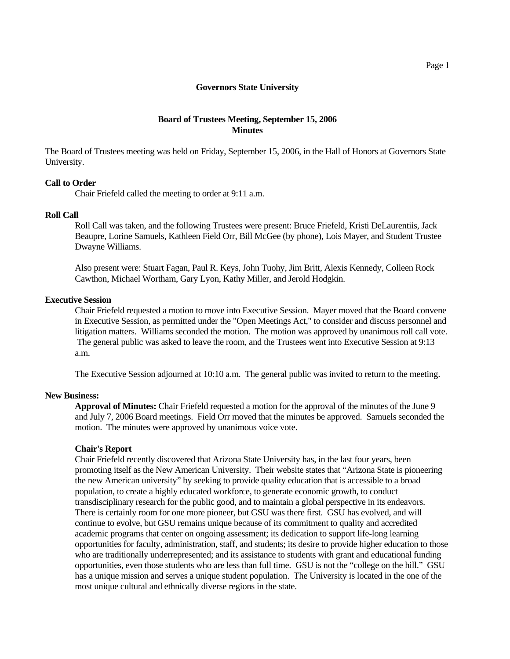#### **Board of Trustees Meeting, September 15, 2006 Minutes**

The Board of Trustees meeting was held on Friday, September 15, 2006, in the Hall of Honors at Governors State University.

#### **Call to Order**

Chair Friefeld called the meeting to order at 9:11 a.m.

#### **Roll Call**

 Roll Call was taken, and the following Trustees were present: Bruce Friefeld, Kristi DeLaurentiis, Jack Beaupre, Lorine Samuels, Kathleen Field Orr, Bill McGee (by phone), Lois Mayer, and Student Trustee Dwayne Williams.

 Also present were: Stuart Fagan, Paul R. Keys, John Tuohy, Jim Britt, Alexis Kennedy, Colleen Rock Cawthon, Michael Wortham, Gary Lyon, Kathy Miller, and Jerold Hodgkin.

#### **Executive Session**

 Chair Friefeld requested a motion to move into Executive Session. Mayer moved that the Board convene in Executive Session, as permitted under the "Open Meetings Act," to consider and discuss personnel and litigation matters. Williams seconded the motion. The motion was approved by unanimous roll call vote. The general public was asked to leave the room, and the Trustees went into Executive Session at 9:13 a.m.

The Executive Session adjourned at 10:10 a.m. The general public was invited to return to the meeting.

#### **New Business:**

 **Approval of Minutes:** Chair Friefeld requested a motion for the approval of the minutes of the June 9 and July 7, 2006 Board meetings. Field Orr moved that the minutes be approved. Samuels seconded the motion. The minutes were approved by unanimous voice vote.

#### **Chair's Report**

Chair Friefeld recently discovered that Arizona State University has, in the last four years, been promoting itself as the New American University. Their website states that "Arizona State is pioneering the new American university" by seeking to provide quality education that is accessible to a broad population, to create a highly educated workforce, to generate economic growth, to conduct transdisciplinary research for the public good, and to maintain a global perspective in its endeavors. There is certainly room for one more pioneer, but GSU was there first. GSU has evolved, and will continue to evolve, but GSU remains unique because of its commitment to quality and accredited academic programs that center on ongoing assessment; its dedication to support life-long learning opportunities for faculty, administration, staff, and students; its desire to provide higher education to those who are traditionally underrepresented; and its assistance to students with grant and educational funding opportunities, even those students who are less than full time. GSU is not the "college on the hill." GSU has a unique mission and serves a unique student population. The University is located in the one of the most unique cultural and ethnically diverse regions in the state.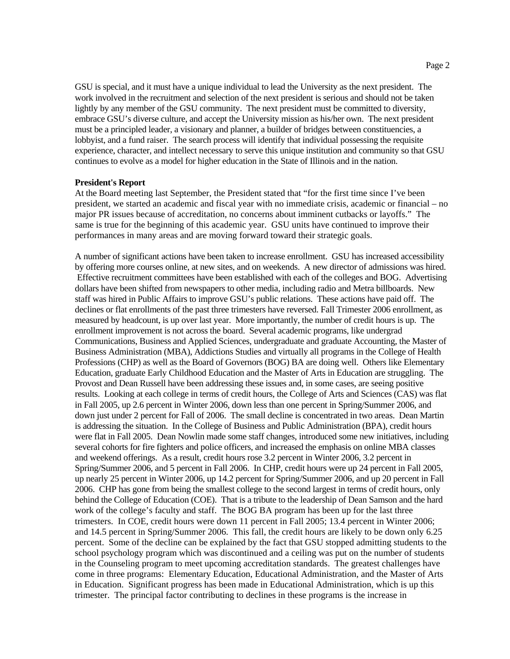GSU is special, and it must have a unique individual to lead the University as the next president. The work involved in the recruitment and selection of the next president is serious and should not be taken lightly by any member of the GSU community. The next president must be committed to diversity, embrace GSU's diverse culture, and accept the University mission as his/her own. The next president must be a principled leader, a visionary and planner, a builder of bridges between constituencies, a lobbyist, and a fund raiser. The search process will identify that individual possessing the requisite experience, character, and intellect necessary to serve this unique institution and community so that GSU continues to evolve as a model for higher education in the State of Illinois and in the nation.

#### **President's Report**

At the Board meeting last September, the President stated that "for the first time since I've been president, we started an academic and fiscal year with no immediate crisis, academic or financial – no major PR issues because of accreditation, no concerns about imminent cutbacks or layoffs." The same is true for the beginning of this academic year. GSU units have continued to improve their performances in many areas and are moving forward toward their strategic goals.

A number of significant actions have been taken to increase enrollment. GSU has increased accessibility by offering more courses online, at new sites, and on weekends. A new director of admissions was hired. Effective recruitment committees have been established with each of the colleges and BOG. Advertising dollars have been shifted from newspapers to other media, including radio and Metra billboards. New staff was hired in Public Affairs to improve GSU's public relations. These actions have paid off. The declines or flat enrollments of the past three trimesters have reversed. Fall Trimester 2006 enrollment, as measured by headcount, is up over last year. More importantly, the number of credit hours is up. The enrollment improvement is not across the board. Several academic programs, like undergrad Communications, Business and Applied Sciences, undergraduate and graduate Accounting, the Master of Business Administration (MBA), Addictions Studies and virtually all programs in the College of Health Professions (CHP) as well as the Board of Governors (BOG) BA are doing well. Others like Elementary Education, graduate Early Childhood Education and the Master of Arts in Education are struggling. The Provost and Dean Russell have been addressing these issues and, in some cases, are seeing positive results. Looking at each college in terms of credit hours, the College of Arts and Sciences (CAS) was flat in Fall 2005, up 2.6 percent in Winter 2006, down less than one percent in Spring/Summer 2006, and down just under 2 percent for Fall of 2006. The small decline is concentrated in two areas. Dean Martin is addressing the situation. In the College of Business and Public Administration (BPA), credit hours were flat in Fall 2005. Dean Nowlin made some staff changes, introduced some new initiatives, including several cohorts for fire fighters and police officers, and increased the emphasis on online MBA classes and weekend offerings. As a result, credit hours rose 3.2 percent in Winter 2006, 3.2 percent in Spring/Summer 2006, and 5 percent in Fall 2006. In CHP, credit hours were up 24 percent in Fall 2005, up nearly 25 percent in Winter 2006, up 14.2 percent for Spring/Summer 2006, and up 20 percent in Fall 2006. CHP has gone from being the smallest college to the second largest in terms of credit hours, only behind the College of Education (COE). That is a tribute to the leadership of Dean Samson and the hard work of the college's faculty and staff. The BOG BA program has been up for the last three trimesters. In COE, credit hours were down 11 percent in Fall 2005; 13.4 percent in Winter 2006; and 14.5 percent in Spring/Summer 2006. This fall, the credit hours are likely to be down only 6.25 percent. Some of the decline can be explained by the fact that GSU stopped admitting students to the school psychology program which was discontinued and a ceiling was put on the number of students in the Counseling program to meet upcoming accreditation standards. The greatest challenges have come in three programs: Elementary Education, Educational Administration, and the Master of Arts in Education. Significant progress has been made in Educational Administration, which is up this trimester. The principal factor contributing to declines in these programs is the increase in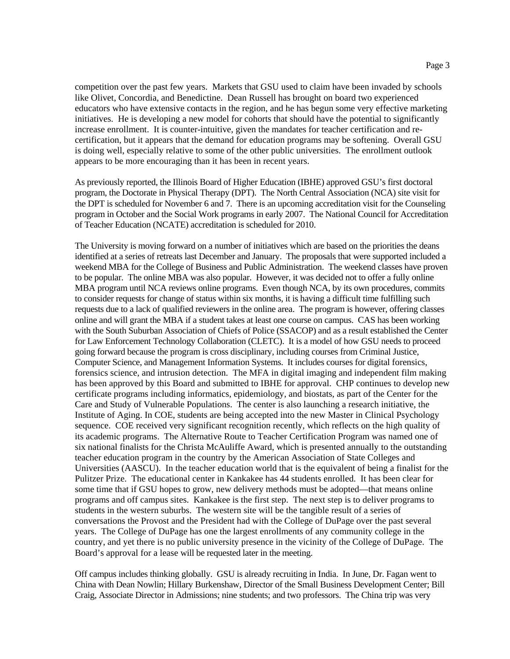competition over the past few years. Markets that GSU used to claim have been invaded by schools like Olivet, Concordia, and Benedictine. Dean Russell has brought on board two experienced educators who have extensive contacts in the region, and he has begun some very effective marketing initiatives. He is developing a new model for cohorts that should have the potential to significantly increase enrollment. It is counter-intuitive, given the mandates for teacher certification and recertification, but it appears that the demand for education programs may be softening. Overall GSU is doing well, especially relative to some of the other public universities. The enrollment outlook appears to be more encouraging than it has been in recent years.

As previously reported, the Illinois Board of Higher Education (IBHE) approved GSU's first doctoral program, the Doctorate in Physical Therapy (DPT). The North Central Association (NCA) site visit for the DPT is scheduled for November 6 and 7. There is an upcoming accreditation visit for the Counseling program in October and the Social Work programs in early 2007. The National Council for Accreditation of Teacher Education (NCATE) accreditation is scheduled for 2010.

The University is moving forward on a number of initiatives which are based on the priorities the deans identified at a series of retreats last December and January. The proposals that were supported included a weekend MBA for the College of Business and Public Administration. The weekend classes have proven to be popular. The online MBA was also popular. However, it was decided not to offer a fully online MBA program until NCA reviews online programs. Even though NCA, by its own procedures, commits to consider requests for change of status within six months, it is having a difficult time fulfilling such requests due to a lack of qualified reviewers in the online area. The program is however, offering classes online and will grant the MBA if a student takes at least one course on campus. CAS has been working with the South Suburban Association of Chiefs of Police (SSACOP) and as a result established the Center for Law Enforcement Technology Collaboration (CLETC). It is a model of how GSU needs to proceed going forward because the program is cross disciplinary, including courses from Criminal Justice, Computer Science, and Management Information Systems. It includes courses for digital forensics, forensics science, and intrusion detection. The MFA in digital imaging and independent film making has been approved by this Board and submitted to IBHE for approval. CHP continues to develop new certificate programs including informatics, epidemiology, and biostats, as part of the Center for the Care and Study of Vulnerable Populations. The center is also launching a research initiative, the Institute of Aging. In COE, students are being accepted into the new Master in Clinical Psychology sequence. COE received very significant recognition recently, which reflects on the high quality of its academic programs. The Alternative Route to Teacher Certification Program was named one of six national finalists for the Christa McAuliffe Award, which is presented annually to the outstanding teacher education program in the country by the American Association of State Colleges and Universities (AASCU). In the teacher education world that is the equivalent of being a finalist for the Pulitzer Prize. The educational center in Kankakee has 44 students enrolled. It has been clear for some time that if GSU hopes to grow, new delivery methods must be adopted—that means online programs and off campus sites. Kankakee is the first step. The next step is to deliver programs to students in the western suburbs. The western site will be the tangible result of a series of conversations the Provost and the President had with the College of DuPage over the past several years. The College of DuPage has one the largest enrollments of any community college in the country, and yet there is no public university presence in the vicinity of the College of DuPage. The Board's approval for a lease will be requested later in the meeting.

Off campus includes thinking globally. GSU is already recruiting in India. In June, Dr. Fagan went to China with Dean Nowlin; Hillary Burkenshaw, Director of the Small Business Development Center; Bill Craig, Associate Director in Admissions; nine students; and two professors. The China trip was very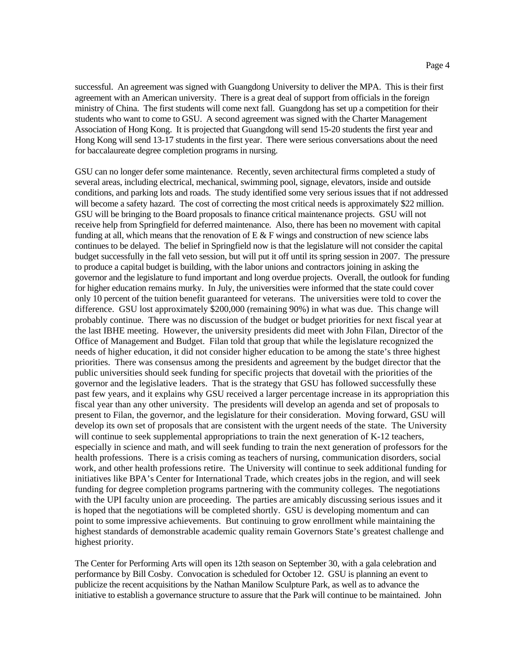successful. An agreement was signed with Guangdong University to deliver the MPA. This is their first agreement with an American university. There is a great deal of support from officials in the foreign ministry of China. The first students will come next fall. Guangdong has set up a competition for their students who want to come to GSU. A second agreement was signed with the Charter Management Association of Hong Kong. It is projected that Guangdong will send 15-20 students the first year and Hong Kong will send 13-17 students in the first year. There were serious conversations about the need for baccalaureate degree completion programs in nursing.

GSU can no longer defer some maintenance. Recently, seven architectural firms completed a study of several areas, including electrical, mechanical, swimming pool, signage, elevators, inside and outside conditions, and parking lots and roads. The study identified some very serious issues that if not addressed will become a safety hazard. The cost of correcting the most critical needs is approximately \$22 million. GSU will be bringing to the Board proposals to finance critical maintenance projects. GSU will not receive help from Springfield for deferred maintenance. Also, there has been no movement with capital funding at all, which means that the renovation of  $E \& F$  wings and construction of new science labs continues to be delayed. The belief in Springfield now is that the legislature will not consider the capital budget successfully in the fall veto session, but will put it off until its spring session in 2007. The pressure to produce a capital budget is building, with the labor unions and contractors joining in asking the governor and the legislature to fund important and long overdue projects. Overall, the outlook for funding for higher education remains murky. In July, the universities were informed that the state could cover only 10 percent of the tuition benefit guaranteed for veterans. The universities were told to cover the difference. GSU lost approximately \$200,000 (remaining 90%) in what was due. This change will probably continue. There was no discussion of the budget or budget priorities for next fiscal year at the last IBHE meeting. However, the university presidents did meet with John Filan, Director of the Office of Management and Budget. Filan told that group that while the legislature recognized the needs of higher education, it did not consider higher education to be among the state's three highest priorities. There was consensus among the presidents and agreement by the budget director that the public universities should seek funding for specific projects that dovetail with the priorities of the governor and the legislative leaders. That is the strategy that GSU has followed successfully these past few years, and it explains why GSU received a larger percentage increase in its appropriation this fiscal year than any other university. The presidents will develop an agenda and set of proposals to present to Filan, the governor, and the legislature for their consideration. Moving forward, GSU will develop its own set of proposals that are consistent with the urgent needs of the state. The University will continue to seek supplemental appropriations to train the next generation of K-12 teachers, especially in science and math, and will seek funding to train the next generation of professors for the health professions. There is a crisis coming as teachers of nursing, communication disorders, social work, and other health professions retire. The University will continue to seek additional funding for initiatives like BPA's Center for International Trade, which creates jobs in the region, and will seek funding for degree completion programs partnering with the community colleges. The negotiations with the UPI faculty union are proceeding. The parties are amicably discussing serious issues and it is hoped that the negotiations will be completed shortly. GSU is developing momentum and can point to some impressive achievements. But continuing to grow enrollment while maintaining the highest standards of demonstrable academic quality remain Governors State's greatest challenge and highest priority.

The Center for Performing Arts will open its 12th season on September 30, with a gala celebration and performance by Bill Cosby. Convocation is scheduled for October 12. GSU is planning an event to publicize the recent acquisitions by the Nathan Manilow Sculpture Park, as well as to advance the initiative to establish a governance structure to assure that the Park will continue to be maintained. John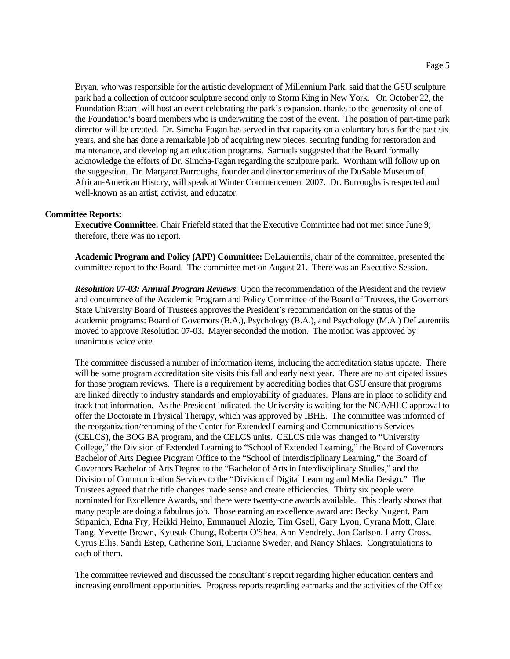Bryan, who was responsible for the artistic development of Millennium Park, said that the GSU sculpture park had a collection of outdoor sculpture second only to Storm King in New York. On October 22, the Foundation Board will host an event celebrating the park's expansion, thanks to the generosity of one of the Foundation's board members who is underwriting the cost of the event. The position of part-time park director will be created. Dr. Simcha-Fagan has served in that capacity on a voluntary basis for the past six years, and she has done a remarkable job of acquiring new pieces, securing funding for restoration and maintenance, and developing art education programs. Samuels suggested that the Board formally acknowledge the efforts of Dr. Simcha-Fagan regarding the sculpture park. Wortham will follow up on the suggestion. Dr. Margaret Burroughs, founder and director emeritus of the DuSable Museum of African-American History, will speak at Winter Commencement 2007. Dr. Burroughs is respected and well-known as an artist, activist, and educator.

#### **Committee Reports:**

**Executive Committee:** Chair Friefeld stated that the Executive Committee had not met since June 9; therefore, there was no report.

**Academic Program and Policy (APP) Committee:** DeLaurentiis, chair of the committee, presented the committee report to the Board. The committee met on August 21. There was an Executive Session.

*Resolution 07-03: Annual Program Reviews*: Upon the recommendation of the President and the review and concurrence of the Academic Program and Policy Committee of the Board of Trustees, the Governors State University Board of Trustees approves the President's recommendation on the status of the academic programs: Board of Governors (B.A.), Psychology (B.A.), and Psychology (M.A.) DeLaurentiis moved to approve Resolution 07-03. Mayer seconded the motion. The motion was approved by unanimous voice vote.

The committee discussed a number of information items, including the accreditation status update. There will be some program accreditation site visits this fall and early next year. There are no anticipated issues for those program reviews. There is a requirement by accrediting bodies that GSU ensure that programs are linked directly to industry standards and employability of graduates. Plans are in place to solidify and track that information. As the President indicated, the University is waiting for the NCA/HLC approval to offer the Doctorate in Physical Therapy, which was approved by IBHE. The committee was informed of the reorganization/renaming of the Center for Extended Learning and Communications Services (CELCS), the BOG BA program, and the CELCS units. CELCS title was changed to "University College," the Division of Extended Learning to "School of Extended Learning," the Board of Governors Bachelor of Arts Degree Program Office to the "School of Interdisciplinary Learning," the Board of Governors Bachelor of Arts Degree to the "Bachelor of Arts in Interdisciplinary Studies," and the Division of Communication Services to the "Division of Digital Learning and Media Design." The Trustees agreed that the title changes made sense and create efficiencies. Thirty six people were nominated for Excellence Awards, and there were twenty-one awards available. This clearly shows that many people are doing a fabulous job. Those earning an excellence award are: Becky Nugent, Pam Stipanich, Edna Fry, Heikki Heino, Emmanuel Alozie, Tim Gsell, Gary Lyon, Cyrana Mott, Clare Tang, Yevette Brown, Kyusuk Chung**,** Roberta O'Shea, Ann Vendrely, Jon Carlson, Larry Cross**,**  Cyrus Ellis, Sandi Estep, Catherine Sori, Lucianne Sweder, and Nancy Shlaes. Congratulations to each of them.

The committee reviewed and discussed the consultant's report regarding higher education centers and increasing enrollment opportunities. Progress reports regarding earmarks and the activities of the Office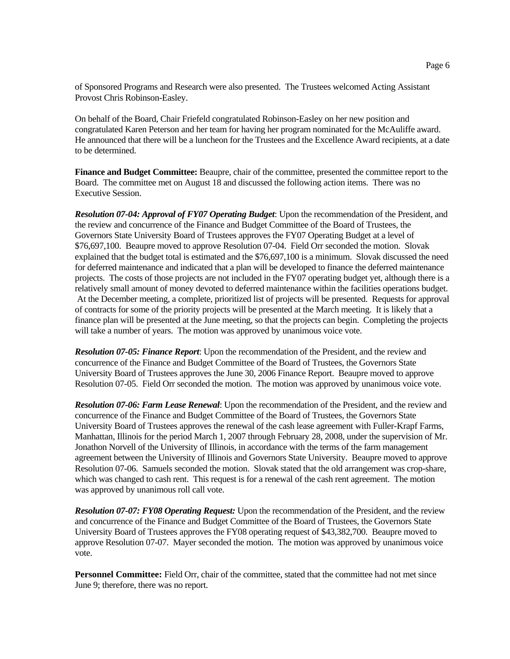of Sponsored Programs and Research were also presented. The Trustees welcomed Acting Assistant Provost Chris Robinson-Easley.

On behalf of the Board, Chair Friefeld congratulated Robinson-Easley on her new position and congratulated Karen Peterson and her team for having her program nominated for the McAuliffe award. He announced that there will be a luncheon for the Trustees and the Excellence Award recipients, at a date to be determined.

**Finance and Budget Committee:** Beaupre, chair of the committee, presented the committee report to the Board. The committee met on August 18 and discussed the following action items. There was no Executive Session.

*Resolution 07-04: Approval of FY07 Operating Budget*: Upon the recommendation of the President, and the review and concurrence of the Finance and Budget Committee of the Board of Trustees, the Governors State University Board of Trustees approves the FY07 Operating Budget at a level of \$76,697,100. Beaupre moved to approve Resolution 07-04. Field Orr seconded the motion. Slovak explained that the budget total is estimated and the \$76,697,100 is a minimum. Slovak discussed the need for deferred maintenance and indicated that a plan will be developed to finance the deferred maintenance projects. The costs of those projects are not included in the FY07 operating budget yet, although there is a relatively small amount of money devoted to deferred maintenance within the facilities operations budget. At the December meeting, a complete, prioritized list of projects will be presented. Requests for approval of contracts for some of the priority projects will be presented at the March meeting. It is likely that a finance plan will be presented at the June meeting, so that the projects can begin. Completing the projects will take a number of years. The motion was approved by unanimous voice vote.

*Resolution 07-05: Finance Report*: Upon the recommendation of the President, and the review and concurrence of the Finance and Budget Committee of the Board of Trustees, the Governors State University Board of Trustees approves the June 30, 2006 Finance Report. Beaupre moved to approve Resolution 07-05. Field Orr seconded the motion. The motion was approved by unanimous voice vote.

*Resolution 07-06: Farm Lease Renewal*: Upon the recommendation of the President, and the review and concurrence of the Finance and Budget Committee of the Board of Trustees, the Governors State University Board of Trustees approves the renewal of the cash lease agreement with Fuller-Krapf Farms, Manhattan, Illinois for the period March 1, 2007 through February 28, 2008, under the supervision of Mr. Jonathon Norvell of the University of Illinois, in accordance with the terms of the farm management agreement between the University of Illinois and Governors State University. Beaupre moved to approve Resolution 07-06. Samuels seconded the motion. Slovak stated that the old arrangement was crop-share, which was changed to cash rent. This request is for a renewal of the cash rent agreement. The motion was approved by unanimous roll call vote.

*Resolution 07-07: FY08 Operating Request:* Upon the recommendation of the President, and the review and concurrence of the Finance and Budget Committee of the Board of Trustees, the Governors State University Board of Trustees approves the FY08 operating request of \$43,382,700. Beaupre moved to approve Resolution 07-07. Mayer seconded the motion. The motion was approved by unanimous voice vote.

**Personnel Committee:** Field Orr, chair of the committee, stated that the committee had not met since June 9; therefore, there was no report.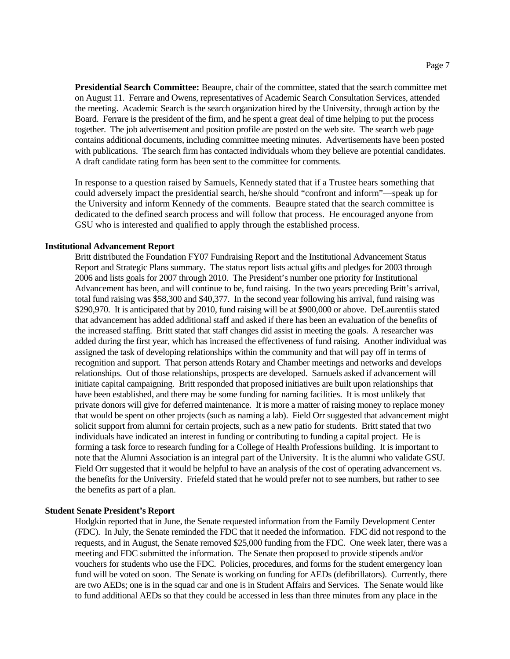**Presidential Search Committee:** Beaupre, chair of the committee, stated that the search committee met on August 11. Ferrare and Owens, representatives of Academic Search Consultation Services, attended the meeting. Academic Search is the search organization hired by the University, through action by the Board. Ferrare is the president of the firm, and he spent a great deal of time helping to put the process together. The job advertisement and position profile are posted on the web site. The search web page contains additional documents, including committee meeting minutes. Advertisements have been posted with publications. The search firm has contacted individuals whom they believe are potential candidates. A draft candidate rating form has been sent to the committee for comments.

In response to a question raised by Samuels, Kennedy stated that if a Trustee hears something that could adversely impact the presidential search, he/she should "confront and inform"—speak up for the University and inform Kennedy of the comments. Beaupre stated that the search committee is dedicated to the defined search process and will follow that process. He encouraged anyone from GSU who is interested and qualified to apply through the established process.

#### **Institutional Advancement Report**

Britt distributed the Foundation FY07 Fundraising Report and the Institutional Advancement Status Report and Strategic Plans summary. The status report lists actual gifts and pledges for 2003 through 2006 and lists goals for 2007 through 2010. The President's number one priority for Institutional Advancement has been, and will continue to be, fund raising. In the two years preceding Britt's arrival, total fund raising was \$58,300 and \$40,377. In the second year following his arrival, fund raising was \$290,970. It is anticipated that by 2010, fund raising will be at \$900,000 or above. DeLaurentiis stated that advancement has added additional staff and asked if there has been an evaluation of the benefits of the increased staffing. Britt stated that staff changes did assist in meeting the goals. A researcher was added during the first year, which has increased the effectiveness of fund raising. Another individual was assigned the task of developing relationships within the community and that will pay off in terms of recognition and support. That person attends Rotary and Chamber meetings and networks and develops relationships. Out of those relationships, prospects are developed. Samuels asked if advancement will initiate capital campaigning. Britt responded that proposed initiatives are built upon relationships that have been established, and there may be some funding for naming facilities. It is most unlikely that private donors will give for deferred maintenance. It is more a matter of raising money to replace money that would be spent on other projects (such as naming a lab). Field Orr suggested that advancement might solicit support from alumni for certain projects, such as a new patio for students. Britt stated that two individuals have indicated an interest in funding or contributing to funding a capital project. He is forming a task force to research funding for a College of Health Professions building. It is important to note that the Alumni Association is an integral part of the University. It is the alumni who validate GSU. Field Orr suggested that it would be helpful to have an analysis of the cost of operating advancement vs. the benefits for the University. Friefeld stated that he would prefer not to see numbers, but rather to see the benefits as part of a plan.

#### **Student Senate President's Report**

Hodgkin reported that in June, the Senate requested information from the Family Development Center (FDC). In July, the Senate reminded the FDC that it needed the information. FDC did not respond to the requests, and in August, the Senate removed \$25,000 funding from the FDC. One week later, there was a meeting and FDC submitted the information. The Senate then proposed to provide stipends and/or vouchers for students who use the FDC. Policies, procedures, and forms for the student emergency loan fund will be voted on soon. The Senate is working on funding for AEDs (defibrillators). Currently, there are two AEDs; one is in the squad car and one is in Student Affairs and Services. The Senate would like to fund additional AEDs so that they could be accessed in less than three minutes from any place in the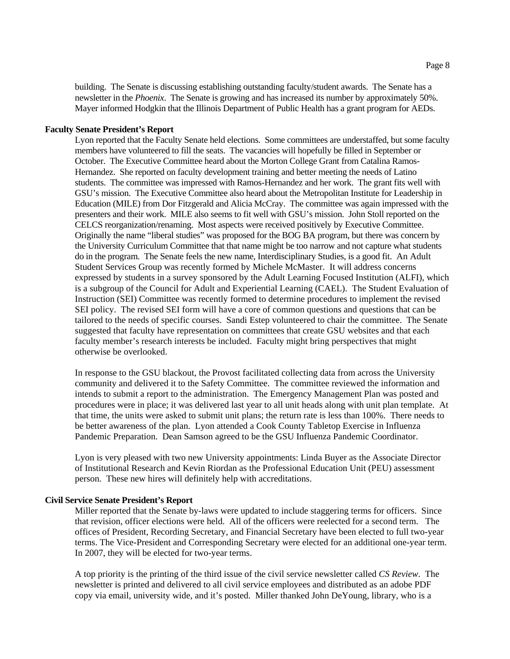building. The Senate is discussing establishing outstanding faculty/student awards. The Senate has a newsletter in the *Phoenix*. The Senate is growing and has increased its number by approximately 50%. Mayer informed Hodgkin that the Illinois Department of Public Health has a grant program for AEDs.

#### **Faculty Senate President's Report**

Lyon reported that the Faculty Senate held elections. Some committees are understaffed, but some faculty members have volunteered to fill the seats. The vacancies will hopefully be filled in September or October. The Executive Committee heard about the Morton College Grant from Catalina Ramos-Hernandez. She reported on faculty development training and better meeting the needs of Latino students. The committee was impressed with Ramos-Hernandez and her work. The grant fits well with GSU's mission. The Executive Committee also heard about the Metropolitan Institute for Leadership in Education (MILE) from Dor Fitzgerald and Alicia McCray. The committee was again impressed with the presenters and their work. MILE also seems to fit well with GSU's mission. John Stoll reported on the CELCS reorganization/renaming. Most aspects were received positively by Executive Committee. Originally the name "liberal studies" was proposed for the BOG BA program, but there was concern by the University Curriculum Committee that that name might be too narrow and not capture what students do in the program. The Senate feels the new name, Interdisciplinary Studies, is a good fit. An Adult Student Services Group was recently formed by Michele McMaster. It will address concerns expressed by students in a survey sponsored by the Adult Learning Focused Institution (ALFI), which is a subgroup of the Council for Adult and Experiential Learning (CAEL). The Student Evaluation of Instruction (SEI) Committee was recently formed to determine procedures to implement the revised SEI policy. The revised SEI form will have a core of common questions and questions that can be tailored to the needs of specific courses. Sandi Estep volunteered to chair the committee. The Senate suggested that faculty have representation on committees that create GSU websites and that each faculty member's research interests be included. Faculty might bring perspectives that might otherwise be overlooked.

In response to the GSU blackout, the Provost facilitated collecting data from across the University community and delivered it to the Safety Committee. The committee reviewed the information and intends to submit a report to the administration. The Emergency Management Plan was posted and procedures were in place; it was delivered last year to all unit heads along with unit plan template. At that time, the units were asked to submit unit plans; the return rate is less than 100%. There needs to be better awareness of the plan. Lyon attended a Cook County Tabletop Exercise in Influenza Pandemic Preparation. Dean Samson agreed to be the GSU Influenza Pandemic Coordinator.

Lyon is very pleased with two new University appointments: Linda Buyer as the Associate Director of Institutional Research and Kevin Riordan as the Professional Education Unit (PEU) assessment person. These new hires will definitely help with accreditations.

#### **Civil Service Senate President's Report**

Miller reported that the Senate by-laws were updated to include staggering terms for officers. Since that revision, officer elections were held. All of the officers were reelected for a second term. The offices of President, Recording Secretary, and Financial Secretary have been elected to full two-year terms. The Vice-President and Corresponding Secretary were elected for an additional one-year term. In 2007, they will be elected for two-year terms.

A top priority is the printing of the third issue of the civil service newsletter called *CS Review*. The newsletter is printed and delivered to all civil service employees and distributed as an adobe PDF copy via email, university wide, and it's posted. Miller thanked John DeYoung, library, who is a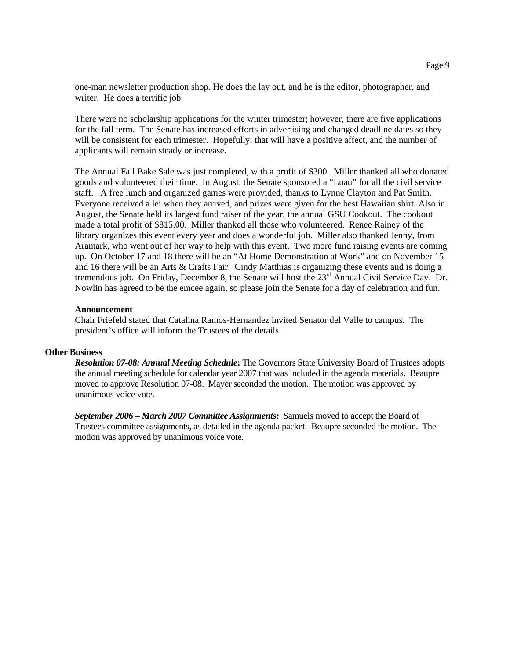one-man newsletter production shop. He does the lay out, and he is the editor, photographer, and writer. He does a terrific job.

There were no scholarship applications for the winter trimester; however, there are five applications for the fall term. The Senate has increased efforts in advertising and changed deadline dates so they will be consistent for each trimester. Hopefully, that will have a positive affect, and the number of applicants will remain steady or increase.

The Annual Fall Bake Sale was just completed, with a profit of \$300. Miller thanked all who donated goods and volunteered their time. In August, the Senate sponsored a "Luau" for all the civil service staff. A free lunch and organized games were provided, thanks to Lynne Clayton and Pat Smith. Everyone received a lei when they arrived, and prizes were given for the best Hawaiian shirt. Also in August, the Senate held its largest fund raiser of the year, the annual GSU Cookout. The cookout made a total profit of \$815.00. Miller thanked all those who volunteered. Renee Rainey of the library organizes this event every year and does a wonderful job. Miller also thanked Jenny, from Aramark, who went out of her way to help with this event. Two more fund raising events are coming up. On October 17 and 18 there will be an "At Home Demonstration at Work" and on November 15 and 16 there will be an Arts & Crafts Fair. Cindy Matthias is organizing these events and is doing a tremendous job. On Friday, December 8, the Senate will host the 23<sup>rd</sup> Annual Civil Service Day. Dr. Nowlin has agreed to be the emcee again, so please join the Senate for a day of celebration and fun.

#### **Announcement**

Chair Friefeld stated that Catalina Ramos-Hernandez invited Senator del Valle to campus. The president's office will inform the Trustees of the details.

#### **Other Business**

*Resolution 07-08: Annual Meeting Schedule***:** The Governors State University Board of Trustees adopts the annual meeting schedule for calendar year 2007 that was included in the agenda materials. Beaupre moved to approve Resolution 07-08. Mayer seconded the motion. The motion was approved by unanimous voice vote.

*September 2006 – March 2007 Committee Assignments:* Samuels moved to accept the Board of Trustees committee assignments, as detailed in the agenda packet. Beaupre seconded the motion. The motion was approved by unanimous voice vote.